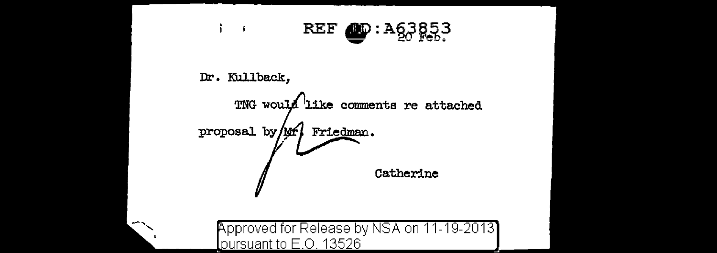

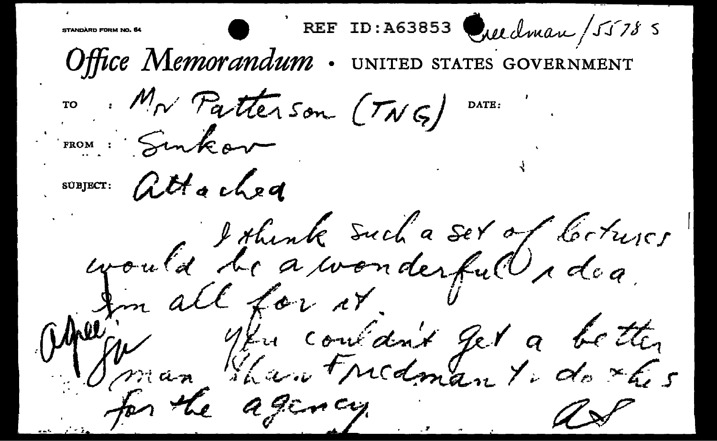REF ID:A63853 Quedman/55785 STANDARD FORM NO. 64 Office Memorandum. NITED STATES GOVERNMENT ro Mr Patterson (TNG) DATE: FROM : Sinkor SUBJECT: attached would be a wonderful r dea Marin 14 consant get a better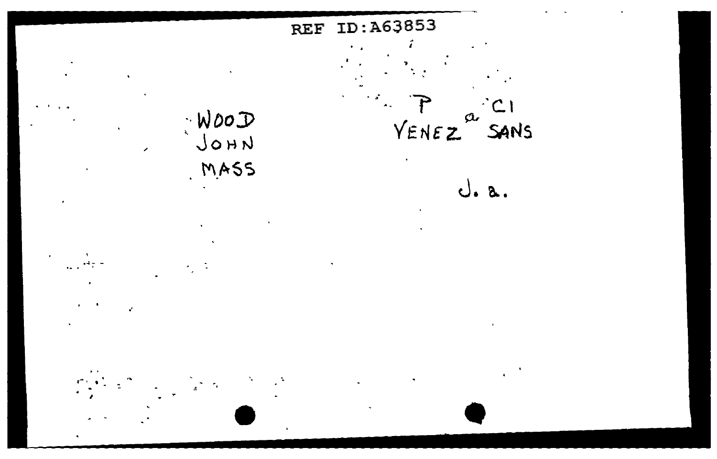

ż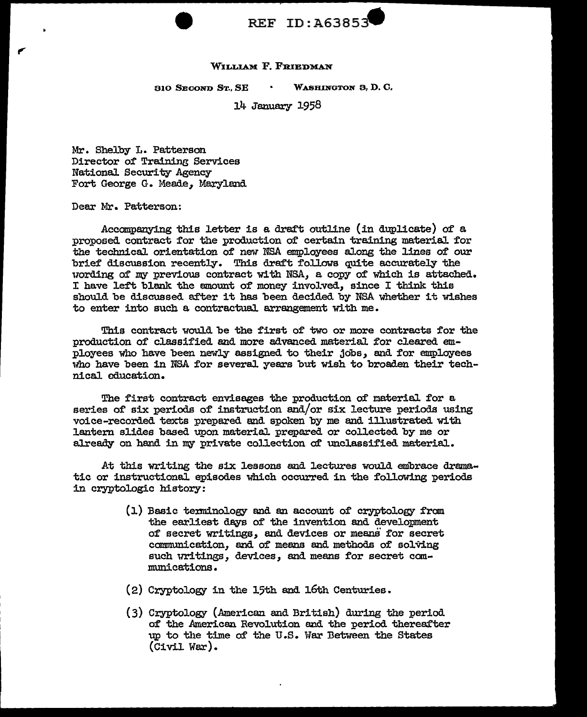

#### WILLIAM F. FRIEDMAN

310 SEOOND ST., SE WASHINGTON 3, D. C.

14 January 1958

Mr. Shelby L. Patterson Director of Training Services National Security Agency Fort George G. Meade, Maryland

Dear Mr. Patterson:

Accompanying this letter is a draft outline (in duplicate) of a. proposed contract for the production of certain training material for the technical orientation of new NSA employees along the lines of our brief discussion recently. This draft follows quite accurately the nording o£ my previous contract w1 th NSA, a copy of which is attached. I have left blank the amount of money involved, since I think this shouJ.d be discussed after it has been decided by NSA whether it wishes to enter into such a. contractual. arrangement with me.

This contract would be the first of two or more contracts for the production of classified and more advanced material for cleared employees who have been newly assigned to their jobs, and for employees who have been in NSA for several years but wish to broaden their technical education.

The first contract envisages the production of material for a series of six periods of instruction and/or six lecture periods using voice-recorded texts prepared and spoken by me and illustrated with lantern slides based upon material prepared or collected by me or already on hand in my private collection of unclassified material.

At this writing the six lessons and lectures would embrace dramatic or instructional episodes which occurred in the following periods in cryptologic history:

- (1) Basic terminology and an account of cryptology from the earliest days of the invention and development of secret writings, and devices or means for secret communication, and of means and methods of solving such writings, devices, and means for secret communications.
- (2) Cryptology in the 15th and 16th Centuries.
- ( 3) Cryptology (American and British) during the period of the American Revolution and the period thereafter up to the time of the U .s. War Between the States (Civil. War).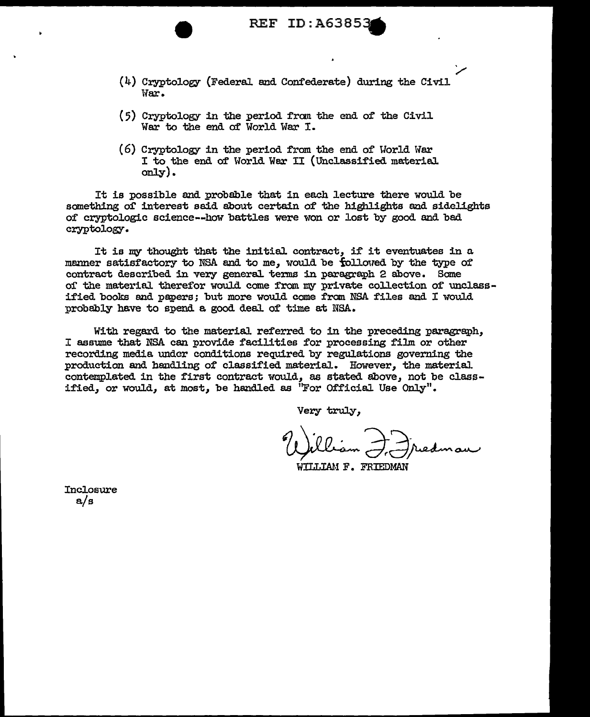REF ID: A6385.

- (4) Cryptology (Federal and Confederate) during the Civil War.
- (5) Cryptology in the period from the end of the Civil War to the end of Wor1d War I.
- (6) Cryptology in the period from the end of Uorld War I to the end of World War II (Unclassified material only).

It is possible and probable that in each lecture there would be something of interest said about certain of the highlights and sidelights of cryptologic science--how battles were won or lost by good and bad cryptology.

It is my thought that the initial contract, if it eventuates in a. manner satisfactory to NSA and to me, would be followed by the type of contract described in very general terms in paragraph 2 above. Some of the material therefor would come from my private collection of unclassified books and papers; but more would come from NSA files and I would probably have to spend a good deal of time at NSA.

With regard to the material referred to in the preceding paragraph, I assume that NSA can provide facilities for processing film or other recording media under conditions required by regulations governing the production and handling of classified material. However, the material contemplated in the first contract would, as stated above, not be classified, or would, at most, be handled as "For Official Use Only".

Very truly,

.<br>م

WILLIAM F. FRIEDMAN

**Inclosure** a/s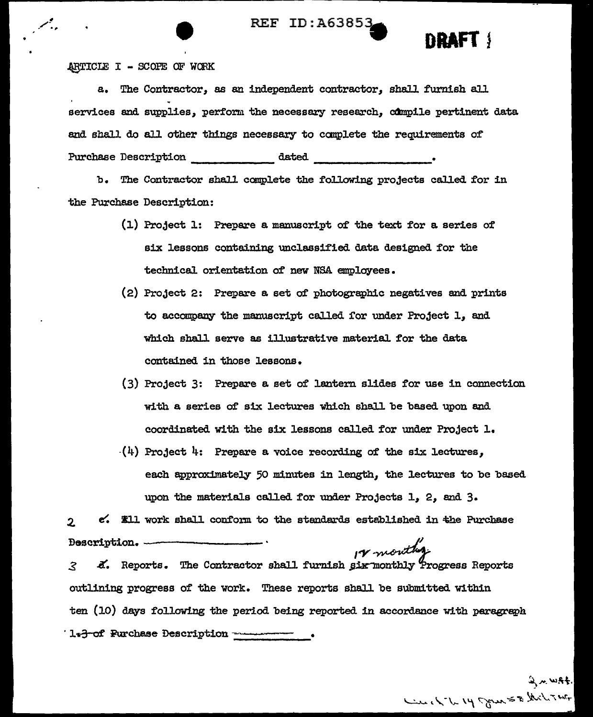REF ID: A6385.



ARTICLE I - SCOPE OF WORK

a. The Contractor, as an independent contractor. shall furnish all services and supplies, perform the necessary research, compile pertinent data and shall do all other things necessary to complete the requirements of Purchase Description  $\qquad \qquad \text{dated}$ 

b. The Contractor shall complete the following projects called for in the Purchase Description:

- $(1)$  Project 1: Prepare a manuscript of the text for a series of six lessons containing unclassified data designed for the technical. orientation of' new NSA employees.
- (2) Project 2: Prepare a set oi' photographic negatives and prints to accompany the manuscript called for under Project 1, and which shall serve as illustrative material for the data contained in those lessons.
- (3) Project 3: Prepare a set of lantern slides for use in connection with a series of six lectures which shall be based upon and coordinated with the six lessons caJ.led for under Project 1.
- $-(4)$  Project 4: Prepare a voice recording of the six lectures. each approximately 50 minutes in length, the lectures to be based upon the materials called for under Projects 1, 2, and 3.

2. e. Ell work shall conform to the standards established in the Purchase<br>Bescription. D&acription. ---------· ,..,,, .

3 d. Reports. The Contractor shall furnish six monthly Progress Reports outlining progress of the work. These reports shall be submitted within ten (10) days following the period being reported in accordance with paragraph 1.3 of Purchase Description ------------

> $\sim$   $m$   $k+1$ لسند، د لم محمد الله المجموعية بن هم المكرم *7 <del>امي</del>ة •*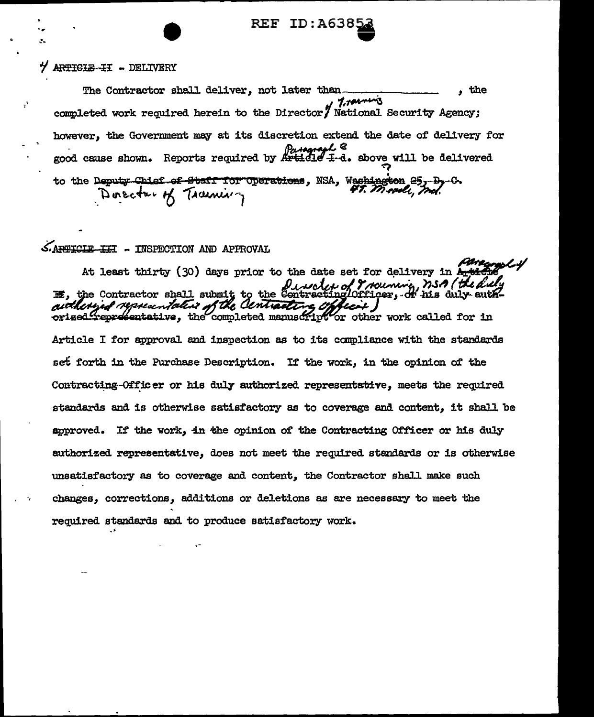**REF ID:A6385** 

## Y ARTIGLE-II - DELIVERY

 $\mathbf{r}'$ 

The Contractor shall deliver, not later than. the Tractics completed work required herein to the Director/ National Security Agency; however, the Government may at its discretion extend the date of delivery for good cause shown. Reports required by Article I-d. above will be delivered to the Deputy Chief of Staff for Operations, NSA, Washington 25, D<sub>3</sub>-0. Director of Training

# SARTICIE II - INSPECTION AND APPROVAL

At least thirty (30) days prior to the date set for delivery in Article Duvelor of Trouning, nso (the duly of the duly of the duly authorized representative of the Centracting Officer. orised representative, the completed manuscript or other work called for in Article I for approval and inspection as to its compliance with the standards set forth in the Purchase Description. If the work, in the opinion of the Contracting-Officer or his duly authorized representative. meets the required standards and is otherwise satisfactory as to coverage and content, it shall be approved. If the work, in the opinion of the Contracting Officer or his duly authorized representative, does not meet the required standards or is otherwise unsatisfactory as to coverage and content, the Contractor shall make such changes, corrections, additions or deletions as are necessary to meet the required standards and to produce satisfactory work.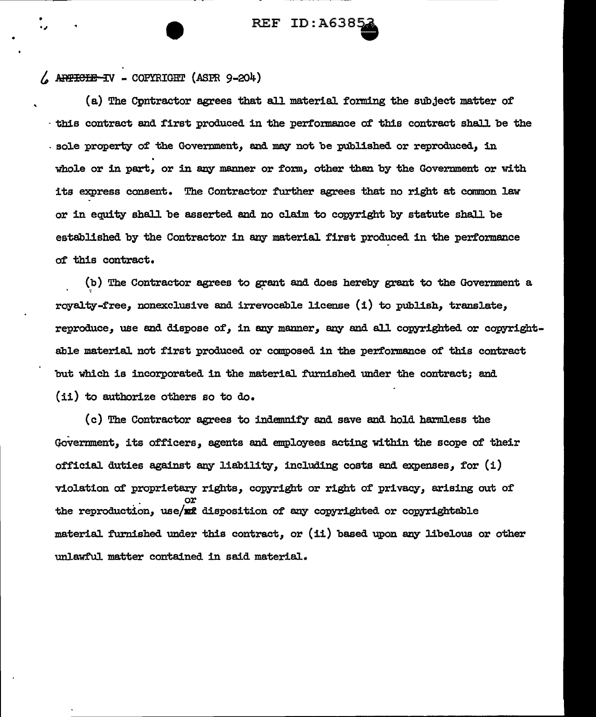# **REF ID: A638**

## *t* .. WieES *rJ* - COPYRIGirr (ASPR 9-204)

(a) The Cpntractor agrees that all materiaJ. forming the subject matter of this contract and first produced in the performance of this contract shall be the . sole property of' the Govermnent, and may not be published or reproduced, in whole or in part, or in any manner or form, other then by the Government or with its express consent. The Contractor further agrees that no right at common law or in equity shaJ.l be asserted end no claim to copyright by statute shaJ.l be established by the Contractor in any material first produced in the performance of this contract.

 $(b)$  The Contractor agrees to grant and does hereby grant to the Government a royaJ.ty-free, nonexclusive and irrevocable license (i) to publish, translate, reproduce, use end dispose of, in any manner, any and aJ.l copyrighted or copyrightable material not first produced or composed in the performance of this contract but which is incorporated in the material furnished under the contract; and (ii) to authorize others so to do.

( c) The Contractor agrees to indemnify and save and hold harmless the Government, its officers, agents end employees acting within the scope of' their official duties against any liability, including costs and expenses, for  $(i)$ violation of proprietary rights, copyright or right of privacy, arising out of . or the reproduction, use/xx disposition of any copyrighted or copyrightable material furnished under this contract, or (ii) based upon any libelous or other unlawfuJ. matter contained in said material.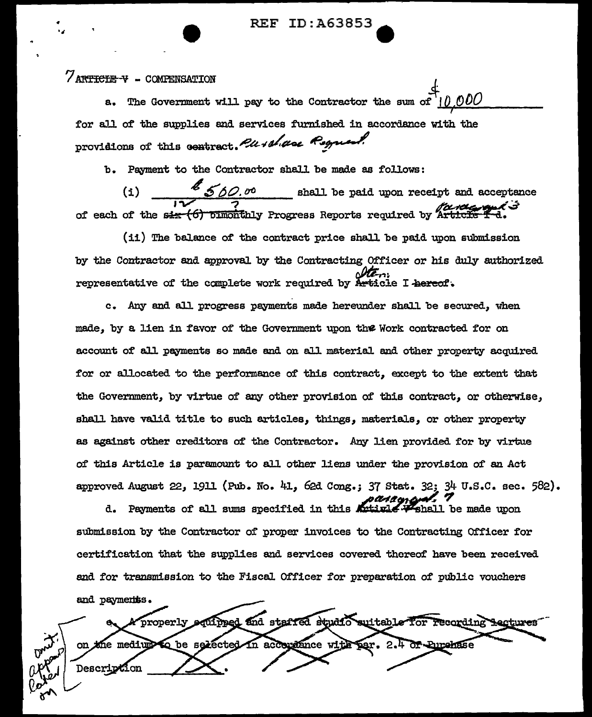ID:A63853 REF

# **/ARTICLE-V - COMPENSATION**

The Government will pay to the Contractor the sum of  $a.$ for all of the supplies and services furnished in accordance with the providions of this contract. Pu + share Reguest

b. Payment to the Contractor shall be made as follows:

 $\frac{2}{3}$  560.00 shall be paid upon receipt and acceptance  $\left( \frac{1}{2} \right)$ of each of the six (6) pinonthly Progress Reports required by Artic

(ii) The balance of the contract price shall be paid upon submission by the Contractor and approval by the Contracting Officer or his duly authorized representative of the complete work required by Article I hereof.

c. Any and all progress payments made hereunder shall be secured, when made, by a lien in favor of the Government upon the Work contracted for on account of all payments so made and on all material and other property acquired for or allocated to the performance of this contract, except to the extent that the Government, by virtue of any other provision of this contract, or otherwise, shall have valid title to such articles, things, materials, or other property as against other creditors of the Contractor. Any lien provided for by virtue of this Article is paramount to all other liens under the provision of an Act approved August 22, 1911 (Pub. No. 41, 62d Cong.; 37 Stat. 32; 34 U.S.C. sec. 582).

d. Payments of all sums specified in this Artivle V shall be made upon submission by the Contractor of proper invoices to the Contracting Officer for certification that the supplies and services covered thereof have been received and for transmission to the Fiscal Officer for preparation of public vouchers

and payments. equipped and staffed studio suitable for recording Lectures properly me medium to be selected in acceptance with par. 2.4 or Eurenase Descripti m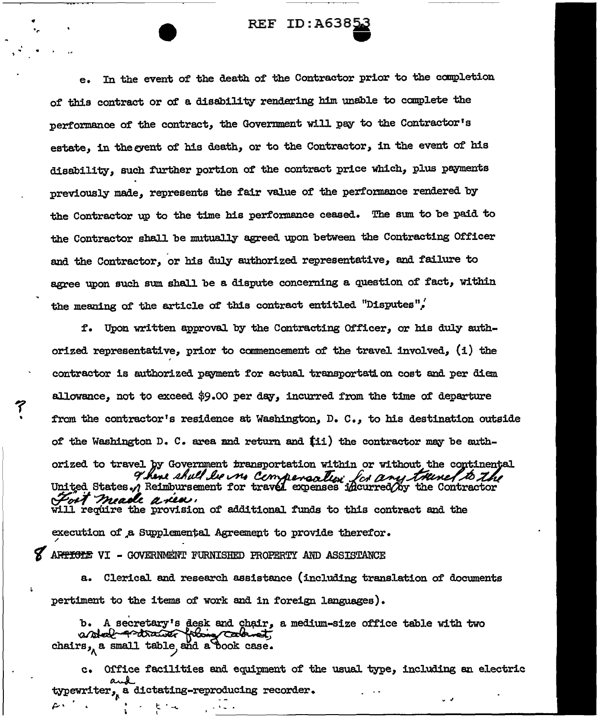# REF ID: A6385

In the event of the death of the Contractor prior to the completion  $e_{\bullet}$ of this contract or of a disability rendering him unable to complete the performance of the contract, the Government will pay to the Contractor's estate, in the grent of his death, or to the Contractor, in the event of his disability, such further portion of the contract price which, plus payments previously made, represents the fair value of the performance rendered by the Contractor up to the time his performance ceased. The sum to be paid to the Contractor shall be mutually agreed upon between the Contracting Officer and the Contractor, or his duly authorized representative, and failure to agree upon such sum shall be a dispute concerning a question of fact, within the meaning of the article of this contract entitled "Disputes",

f. Upon written approval by the Contracting Officer, or his duly authorized representative, prior to commencement of the travel involved, (i) the contractor is authorized payment for actual transportation cost and per diem allowance, not to exceed \$9.00 per day, incurred from the time of departure from the contractor's residence at Washington,  $D_x$ . C., to his destination outside of the Washington D. C. area and return and (ii) the contractor may be authorized to travel by Government transportation within or without the continental There shall be no Compensation for any travel to the Fort meade a vea. will require the provision of additional funds to this contract and the execution of a Supplemental Agreement to provide therefor. ARTICLE VI - GOVERNMENT FURNISHED PROPERTY AND ASSISTANCE

a. Clerical and research assistance (including translation of documents pertiment to the items of work and in foreign languages).

b. A secretary's desk and chair, a medium-size office table with two astal protrainer framy calonets chairs, a small table, and a book case.

c. Office facilities and equipment of the usual type, including an electric typewriter, a dictating-reproducing recorder.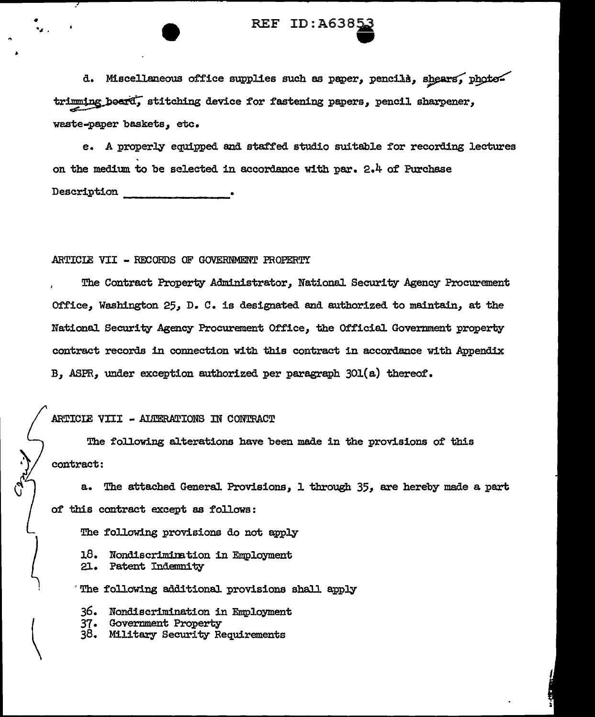# REF ID:A6385 **ext**<br>extending

d. Miscellaneous office supplies such as paper, pencils, shears, phototrimming beard, stitching device for fastening papers, pencil sharpener, weste-paper baskets, etc.

e. A properly equipped and staffed studio suitable for recording lectures on the medium to be selected in accordance with par.  $2.4$  of Purchase  $Description$ 

#### ARTICIE VII - RECORDS OF GOVERNMENT PROPERTY

The Contract Property Administrator, National Security Agency Procurement Office, Washington 25, D. C. is designated and authorized to maintain, at the National Security Agency Procurement Office, the Official Government property contract records in connection with this contract in accordance with Appendix B, ASPR, under exception authorized per paragraph  $301(a)$  thereof.

## ARTICIE VIII - ALTERATIONS IN CONTRACT

The following aJ.terations have been made in the provisions of this contract:

a. The attached General Provisions, 1 through 35, are hereby made a part of this contract except as follows:

The following provisions do not apply

18. Nondiscrimination in Employment<br>21. Patent Indemnity

Patent Indemnity

The following additional provisions shall apply

36. Nondiscrimination in Employment

- 37. Government Property
- 38. Military Security Requirements